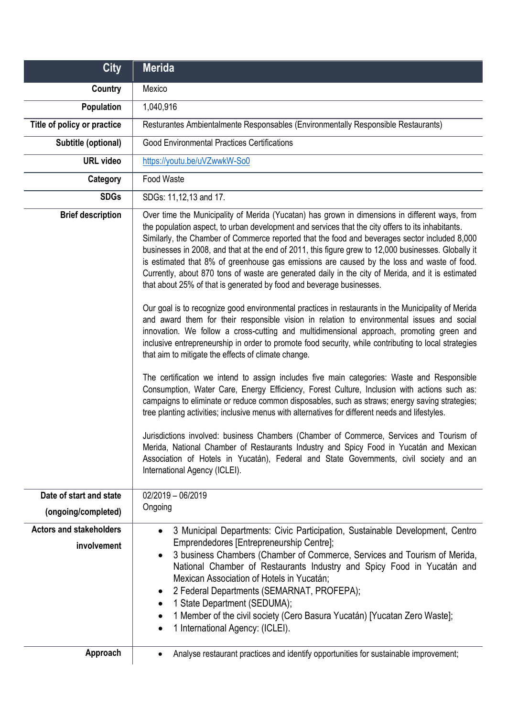| <b>City</b>                                   | <b>Merida</b>                                                                                                                                                                                                                                                                                                                                                                                                                                                                                                                                                                                                                                                                                                                                                                                                                                                                                                                                                                                                                                                                                                                                                                                                                                                                                                                                                                                                                                                                                                                                                                                                                                                                                                                                                                                                                                                           |
|-----------------------------------------------|-------------------------------------------------------------------------------------------------------------------------------------------------------------------------------------------------------------------------------------------------------------------------------------------------------------------------------------------------------------------------------------------------------------------------------------------------------------------------------------------------------------------------------------------------------------------------------------------------------------------------------------------------------------------------------------------------------------------------------------------------------------------------------------------------------------------------------------------------------------------------------------------------------------------------------------------------------------------------------------------------------------------------------------------------------------------------------------------------------------------------------------------------------------------------------------------------------------------------------------------------------------------------------------------------------------------------------------------------------------------------------------------------------------------------------------------------------------------------------------------------------------------------------------------------------------------------------------------------------------------------------------------------------------------------------------------------------------------------------------------------------------------------------------------------------------------------------------------------------------------------|
| Country                                       | Mexico                                                                                                                                                                                                                                                                                                                                                                                                                                                                                                                                                                                                                                                                                                                                                                                                                                                                                                                                                                                                                                                                                                                                                                                                                                                                                                                                                                                                                                                                                                                                                                                                                                                                                                                                                                                                                                                                  |
| Population                                    | 1,040,916                                                                                                                                                                                                                                                                                                                                                                                                                                                                                                                                                                                                                                                                                                                                                                                                                                                                                                                                                                                                                                                                                                                                                                                                                                                                                                                                                                                                                                                                                                                                                                                                                                                                                                                                                                                                                                                               |
| Title of policy or practice                   | Resturantes Ambientalmente Responsables (Environmentally Responsible Restaurants)                                                                                                                                                                                                                                                                                                                                                                                                                                                                                                                                                                                                                                                                                                                                                                                                                                                                                                                                                                                                                                                                                                                                                                                                                                                                                                                                                                                                                                                                                                                                                                                                                                                                                                                                                                                       |
| Subtitle (optional)                           | <b>Good Environmental Practices Certifications</b>                                                                                                                                                                                                                                                                                                                                                                                                                                                                                                                                                                                                                                                                                                                                                                                                                                                                                                                                                                                                                                                                                                                                                                                                                                                                                                                                                                                                                                                                                                                                                                                                                                                                                                                                                                                                                      |
| <b>URL</b> video                              | https://youtu.be/uVZwwkW-So0                                                                                                                                                                                                                                                                                                                                                                                                                                                                                                                                                                                                                                                                                                                                                                                                                                                                                                                                                                                                                                                                                                                                                                                                                                                                                                                                                                                                                                                                                                                                                                                                                                                                                                                                                                                                                                            |
| Category                                      | Food Waste                                                                                                                                                                                                                                                                                                                                                                                                                                                                                                                                                                                                                                                                                                                                                                                                                                                                                                                                                                                                                                                                                                                                                                                                                                                                                                                                                                                                                                                                                                                                                                                                                                                                                                                                                                                                                                                              |
| <b>SDGs</b>                                   | SDGs: 11,12,13 and 17.                                                                                                                                                                                                                                                                                                                                                                                                                                                                                                                                                                                                                                                                                                                                                                                                                                                                                                                                                                                                                                                                                                                                                                                                                                                                                                                                                                                                                                                                                                                                                                                                                                                                                                                                                                                                                                                  |
| <b>Brief description</b>                      | Over time the Municipality of Merida (Yucatan) has grown in dimensions in different ways, from<br>the population aspect, to urban development and services that the city offers to its inhabitants.<br>Similarly, the Chamber of Commerce reported that the food and beverages sector included 8,000<br>businesses in 2008, and that at the end of 2011, this figure grew to 12,000 businesses. Globally it<br>is estimated that 8% of greenhouse gas emissions are caused by the loss and waste of food.<br>Currently, about 870 tons of waste are generated daily in the city of Merida, and it is estimated<br>that about 25% of that is generated by food and beverage businesses.<br>Our goal is to recognize good environmental practices in restaurants in the Municipality of Merida<br>and award them for their responsible vision in relation to environmental issues and social<br>innovation. We follow a cross-cutting and multidimensional approach, promoting green and<br>inclusive entrepreneurship in order to promote food security, while contributing to local strategies<br>that aim to mitigate the effects of climate change.<br>The certification we intend to assign includes five main categories: Waste and Responsible<br>Consumption, Water Care, Energy Efficiency, Forest Culture, Inclusion with actions such as:<br>campaigns to eliminate or reduce common disposables, such as straws; energy saving strategies;<br>tree planting activities; inclusive menus with alternatives for different needs and lifestyles.<br>Jurisdictions involved: business Chambers (Chamber of Commerce, Services and Tourism of<br>Merida, National Chamber of Restaurants Industry and Spicy Food in Yucatán and Mexican<br>Association of Hotels in Yucatán), Federal and State Governments, civil society and an<br>International Agency (ICLEI). |
| Date of start and state                       | $02/2019 - 06/2019$                                                                                                                                                                                                                                                                                                                                                                                                                                                                                                                                                                                                                                                                                                                                                                                                                                                                                                                                                                                                                                                                                                                                                                                                                                                                                                                                                                                                                                                                                                                                                                                                                                                                                                                                                                                                                                                     |
| (ongoing/completed)                           | Ongoing                                                                                                                                                                                                                                                                                                                                                                                                                                                                                                                                                                                                                                                                                                                                                                                                                                                                                                                                                                                                                                                                                                                                                                                                                                                                                                                                                                                                                                                                                                                                                                                                                                                                                                                                                                                                                                                                 |
| <b>Actors and stakeholders</b><br>involvement | 3 Municipal Departments: Civic Participation, Sustainable Development, Centro<br>$\bullet$<br>Emprendedores [Entrepreneurship Centre];<br>3 business Chambers (Chamber of Commerce, Services and Tourism of Merida,<br>$\bullet$<br>National Chamber of Restaurants Industry and Spicy Food in Yucatán and<br>Mexican Association of Hotels in Yucatán;<br>2 Federal Departments (SEMARNAT, PROFEPA);<br>$\bullet$<br>1 State Department (SEDUMA);<br>$\bullet$<br>1 Member of the civil society (Cero Basura Yucatán) [Yucatan Zero Waste];<br>1 International Agency: (ICLEI).                                                                                                                                                                                                                                                                                                                                                                                                                                                                                                                                                                                                                                                                                                                                                                                                                                                                                                                                                                                                                                                                                                                                                                                                                                                                                        |
| Approach                                      | Analyse restaurant practices and identify opportunities for sustainable improvement;                                                                                                                                                                                                                                                                                                                                                                                                                                                                                                                                                                                                                                                                                                                                                                                                                                                                                                                                                                                                                                                                                                                                                                                                                                                                                                                                                                                                                                                                                                                                                                                                                                                                                                                                                                                    |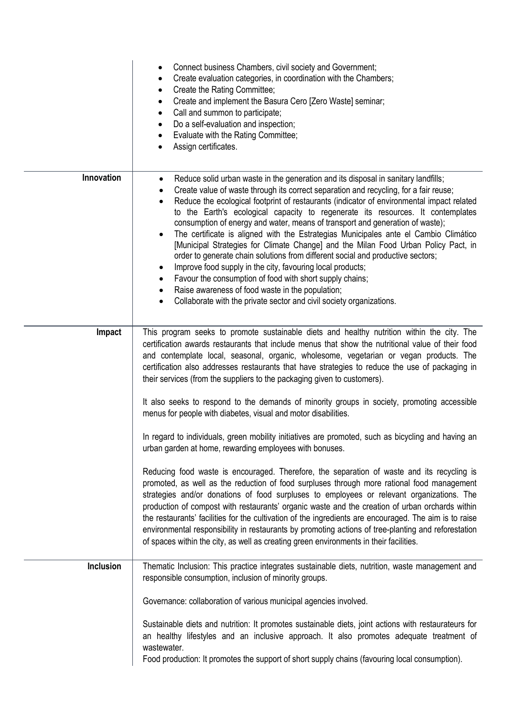|            | Connect business Chambers, civil society and Government;<br>٠<br>Create evaluation categories, in coordination with the Chambers;<br>٠<br>Create the Rating Committee;<br>$\bullet$<br>Create and implement the Basura Cero [Zero Waste] seminar;<br>٠<br>Call and summon to participate;<br>$\bullet$<br>Do a self-evaluation and inspection;<br>$\bullet$<br>Evaluate with the Rating Committee;<br>٠<br>Assign certificates.<br>$\bullet$                                                                                                                                                                                                                                                                                                                                                                                                                                                                                                                                                                                                                   |
|------------|----------------------------------------------------------------------------------------------------------------------------------------------------------------------------------------------------------------------------------------------------------------------------------------------------------------------------------------------------------------------------------------------------------------------------------------------------------------------------------------------------------------------------------------------------------------------------------------------------------------------------------------------------------------------------------------------------------------------------------------------------------------------------------------------------------------------------------------------------------------------------------------------------------------------------------------------------------------------------------------------------------------------------------------------------------------|
| Innovation | Reduce solid urban waste in the generation and its disposal in sanitary landfills;<br>$\bullet$<br>Create value of waste through its correct separation and recycling, for a fair reuse;<br>$\bullet$<br>Reduce the ecological footprint of restaurants (indicator of environmental impact related<br>$\bullet$<br>to the Earth's ecological capacity to regenerate its resources. It contemplates<br>consumption of energy and water, means of transport and generation of waste);<br>The certificate is aligned with the Estrategias Municipales ante el Cambio Climático<br>$\bullet$<br>[Municipal Strategies for Climate Change] and the Milan Food Urban Policy Pact, in<br>order to generate chain solutions from different social and productive sectors;<br>Improve food supply in the city, favouring local products;<br>Favour the consumption of food with short supply chains;<br>$\bullet$<br>Raise awareness of food waste in the population;<br>$\bullet$<br>Collaborate with the private sector and civil society organizations.<br>$\bullet$ |
| Impact     | This program seeks to promote sustainable diets and healthy nutrition within the city. The<br>certification awards restaurants that include menus that show the nutritional value of their food<br>and contemplate local, seasonal, organic, wholesome, vegetarian or vegan products. The<br>certification also addresses restaurants that have strategies to reduce the use of packaging in<br>their services (from the suppliers to the packaging given to customers).                                                                                                                                                                                                                                                                                                                                                                                                                                                                                                                                                                                       |
|            | It also seeks to respond to the demands of minority groups in society, promoting accessible<br>menus for people with diabetes, visual and motor disabilities.                                                                                                                                                                                                                                                                                                                                                                                                                                                                                                                                                                                                                                                                                                                                                                                                                                                                                                  |
|            | In regard to individuals, green mobility initiatives are promoted, such as bicycling and having an<br>urban garden at home, rewarding employees with bonuses.                                                                                                                                                                                                                                                                                                                                                                                                                                                                                                                                                                                                                                                                                                                                                                                                                                                                                                  |
|            | Reducing food waste is encouraged. Therefore, the separation of waste and its recycling is<br>promoted, as well as the reduction of food surpluses through more rational food management<br>strategies and/or donations of food surpluses to employees or relevant organizations. The<br>production of compost with restaurants' organic waste and the creation of urban orchards within<br>the restaurants' facilities for the cultivation of the ingredients are encouraged. The aim is to raise<br>environmental responsibility in restaurants by promoting actions of tree-planting and reforestation<br>of spaces within the city, as well as creating green environments in their facilities.                                                                                                                                                                                                                                                                                                                                                            |
| Inclusion  | Thematic Inclusion: This practice integrates sustainable diets, nutrition, waste management and<br>responsible consumption, inclusion of minority groups.                                                                                                                                                                                                                                                                                                                                                                                                                                                                                                                                                                                                                                                                                                                                                                                                                                                                                                      |
|            | Governance: collaboration of various municipal agencies involved.                                                                                                                                                                                                                                                                                                                                                                                                                                                                                                                                                                                                                                                                                                                                                                                                                                                                                                                                                                                              |
|            | Sustainable diets and nutrition: It promotes sustainable diets, joint actions with restaurateurs for<br>an healthy lifestyles and an inclusive approach. It also promotes adequate treatment of<br>wastewater.<br>Food production: It promotes the support of short supply chains (favouring local consumption).                                                                                                                                                                                                                                                                                                                                                                                                                                                                                                                                                                                                                                                                                                                                               |